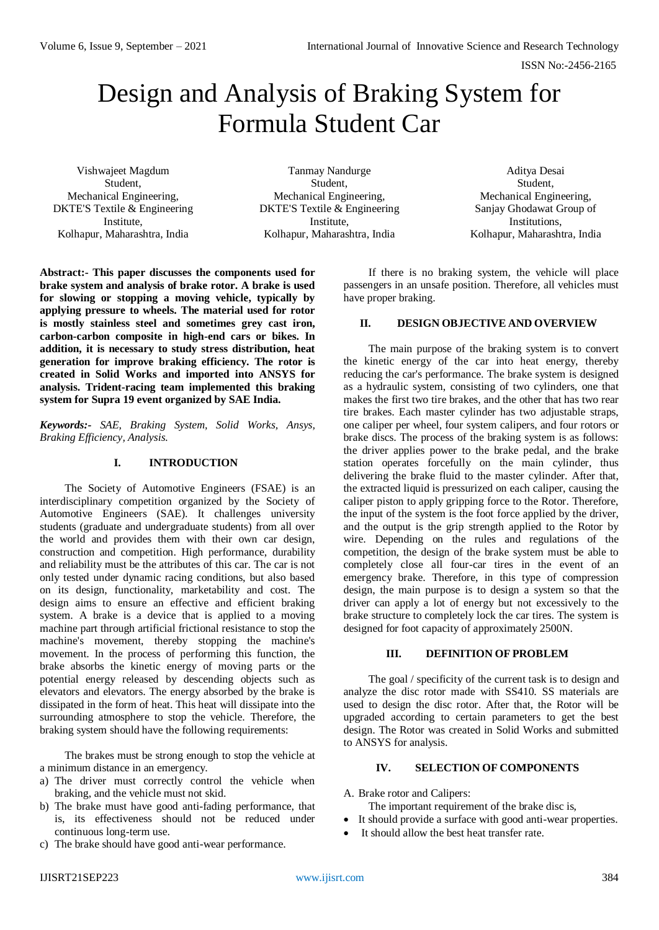# Design and Analysis of Braking System for Formula Student Car

Vishwajeet Magdum Student, Mechanical Engineering, DKTE'S Textile & Engineering Institute, Kolhapur, Maharashtra, India

Tanmay Nandurge Student, Mechanical Engineering, DKTE'S Textile & Engineering Institute, Kolhapur, Maharashtra, India

Aditya Desai Student, Mechanical Engineering, Sanjay Ghodawat Group of Institutions, Kolhapur, Maharashtra, India

**Abstract:- This paper discusses the components used for brake system and analysis of brake rotor. A brake is used**  for slowing or stopping a moving vehicle, typically by **applying pressure to wheels. The material used for rotor is mostly stainless steel and sometimes grey cast iron, carbon-carbon composite in high-end cars or bikes. In addition, it is necessary to study stress distribution, heat generation for improve braking efficiency. The rotor is created in Solid Works and imported into ANSYS for analysis. Trident-racing team implemented this braking system for Supra 19 event organized by SAE India.**

*Keywords:- SAE, Braking System, Solid Works, Ansys, Braking Efficiency, Analysis.*

# **I. INTRODUCTION**

The Society of Automotive Engineers (FSAE) is an interdisciplinary competition organized by the Society of Automotive Engineers (SAE). It challenges university students (graduate and undergraduate students) from all over the world and provides them with their own car design, construction and competition. High performance, durability and reliability must be the attributes of this car. The car is not only tested under dynamic racing conditions, but also based on its design, functionality, marketability and cost. The design aims to ensure an effective and efficient braking system. A brake is a device that is applied to a moving machine part through artificial frictional resistance to stop the machine's movement, thereby stopping the machine's movement. In the process of performing this function, the brake absorbs the kinetic energy of moving parts or the potential energy released by descending objects such as elevators and elevators. The energy absorbed by the brake is dissipated in the form of heat. This heat will dissipate into the surrounding atmosphere to stop the vehicle. Therefore, the braking system should have the following requirements:

The brakes must be strong enough to stop the vehicle at a minimum distance in an emergency.

- a) The driver must correctly control the vehicle when braking, and the vehicle must not skid.
- b) The brake must have good anti-fading performance, that is, its effectiveness should not be reduced under continuous long-term use.
- c) The brake should have good anti-wear performance.

If there is no braking system, the vehicle will place passengers in an unsafe position. Therefore, all vehicles must have proper braking.

# **II. DESIGN OBJECTIVE AND OVERVIEW**

The main purpose of the braking system is to convert the kinetic energy of the car into heat energy, thereby reducing the car's performance. The brake system is designed as a hydraulic system, consisting of two cylinders, one that makes the first two tire brakes, and the other that has two rear tire brakes. Each master cylinder has two adjustable straps, one caliper per wheel, four system calipers, and four rotors or brake discs. The process of the braking system is as follows: the driver applies power to the brake pedal, and the brake station operates forcefully on the main cylinder, thus delivering the brake fluid to the master cylinder. After that, the extracted liquid is pressurized on each caliper, causing the caliper piston to apply gripping force to the Rotor. Therefore, the input of the system is the foot force applied by the driver, and the output is the grip strength applied to the Rotor by wire. Depending on the rules and regulations of the competition, the design of the brake system must be able to completely close all four-car tires in the event of an emergency brake. Therefore, in this type of compression design, the main purpose is to design a system so that the driver can apply a lot of energy but not excessively to the brake structure to completely lock the car tires. The system is designed for foot capacity of approximately 2500N.

### **III. DEFINITION OF PROBLEM**

The goal / specificity of the current task is to design and analyze the disc rotor made with SS410. SS materials are used to design the disc rotor. After that, the Rotor will be upgraded according to certain parameters to get the best design. The Rotor was created in Solid Works and submitted to ANSYS for analysis.

# **IV. SELECTION OF COMPONENTS**

A. Brake rotor and Calipers:

- The important requirement of the brake disc is,
- It should provide a surface with good anti-wear properties.
- It should allow the best heat transfer rate.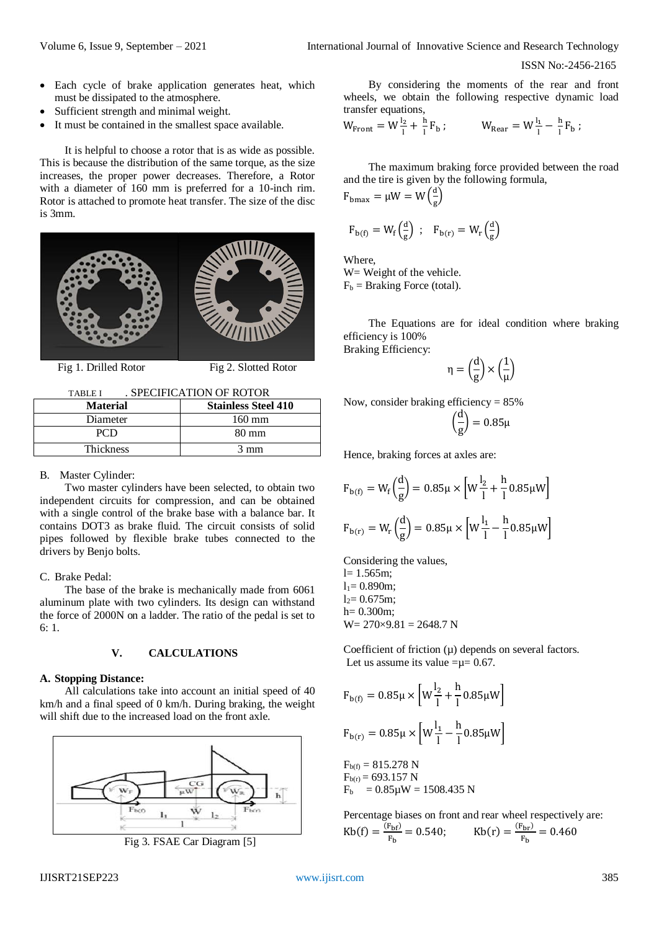- Each cycle of brake application generates heat, which must be dissipated to the atmosphere.
- Sufficient strength and minimal weight.
- It must be contained in the smallest space available.

It is helpful to choose a rotor that is as wide as possible. This is because the distribution of the same torque, as the size increases, the proper power decreases. Therefore, a Rotor with a diameter of 160 mm is preferred for a 10-inch rim. Rotor is attached to promote heat transfer. The size of the disc is 3mm.



Fig 1. Drilled Rotor Fig 2. Slotted Rotor

TABLE I . SPECIFICATION OF ROTOR

| <b>Material</b>  | <b>Stainless Steel 410</b> |
|------------------|----------------------------|
| Diameter         | $160 \text{ mm}$           |
| PCD              | 80 mm                      |
| <b>Thickness</b> | $3 \text{ mm}$             |

#### B. Master Cylinder:

Two master cylinders have been selected, to obtain two independent circuits for compression, and can be obtained with a single control of the brake base with a balance bar. It contains DOT3 as brake fluid. The circuit consists of solid pipes followed by flexible brake tubes connected to the drivers by Benjo bolts.

### C. Brake Pedal:

The base of the brake is mechanically made from 6061 aluminum plate with two cylinders. Its design can withstand the force of 2000N on a ladder. The ratio of the pedal is set to 6: 1.

#### **V. CALCULATIONS**

### **A. Stopping Distance:**

All calculations take into account an initial speed of 40 km/h and a final speed of 0 km/h. During braking, the weight will shift due to the increased load on the front axle.



Fig 3. FSAE Car Diagram [5]

By considering the moments of the rear and front wheels, we obtain the following respective dynamic load transfer equations,

$$
W_{\text{Front}} = W^{\frac{1}{2}} + \frac{h}{l} F_b
$$
;  $W_{\text{Rear}} = W^{\frac{1}{2}} - \frac{h}{l} F_b$ ;

The maximum braking force provided between the road and the tire is given by the following formula,

$$
F_{bmax} = \mu W = W\left(\frac{d}{g}\right)
$$

$$
F_{b(f)} = W_f\left(\frac{d}{g}\right) \; ; \quad F_{b(r)} = W_r\left(\frac{d}{g}\right)
$$

Where, W = Weight of the vehicle.  $F_b$  = Braking Force (total).

The Equations are for ideal condition where braking efficiency is 100% Braking Efficiency:

> 1 μ )

$$
\eta = \Bigl(\frac{d}{g}\Bigr) \times \Bigl(
$$

Now, consider braking efficiency = 85%

$$
\left(\frac{d}{g}\right) = 0.85\mu
$$

Hence, braking forces at axles are:

$$
F_{b(f)} = W_f \left(\frac{d}{g}\right) = 0.85\mu \times \left[W\frac{l_2}{l} + \frac{h}{l} 0.85\mu W\right]
$$

$$
F_{b(r)} = W_r \left(\frac{d}{g}\right) = 0.85\mu \times \left[W\frac{l_1}{l} - \frac{h}{l} 0.85\mu W\right]
$$

Considering the values,  $l= 1.565m$ ;

 $l_1 = 0.890$ m;

 $l_2 = 0.675m$ ;

 $h = 0.300$ m:

 $W = 270 \times 9.81 = 2648.7$  N

Coefficient of friction  $(\mu)$  depends on several factors. Let us assume its value = $\mu$ = 0.67.

$$
F_{b(f)} = 0.85\mu \times \left[W\frac{l_2}{l} + \frac{h}{l} 0.85\mu W\right]
$$

$$
F_{b(r)} = 0.85\mu \times \left[W\frac{l_1}{l} - \frac{h}{l} 0.85\mu W\right]
$$

$$
F_{b(f)} = 815.278 \text{ N}
$$
  
\n
$$
F_{b(r)} = 693.157 \text{ N}
$$
  
\n
$$
F_b = 0.85 \mu \text{W} = 1508.435 \text{ N}
$$

Percentage biases on front and rear wheel respectively are:  $\text{Kb}(f) = \frac{F_{\text{bf}}}{F}$  $\frac{F_{\text{bf}}}{F_{\text{b}}}$  = 0.540; Kb(r) =  $\frac{(F_{\text{br}})}{F_{\text{b}}}$  $\frac{F_{\rm br}}{F_{\rm b}} = 0.460$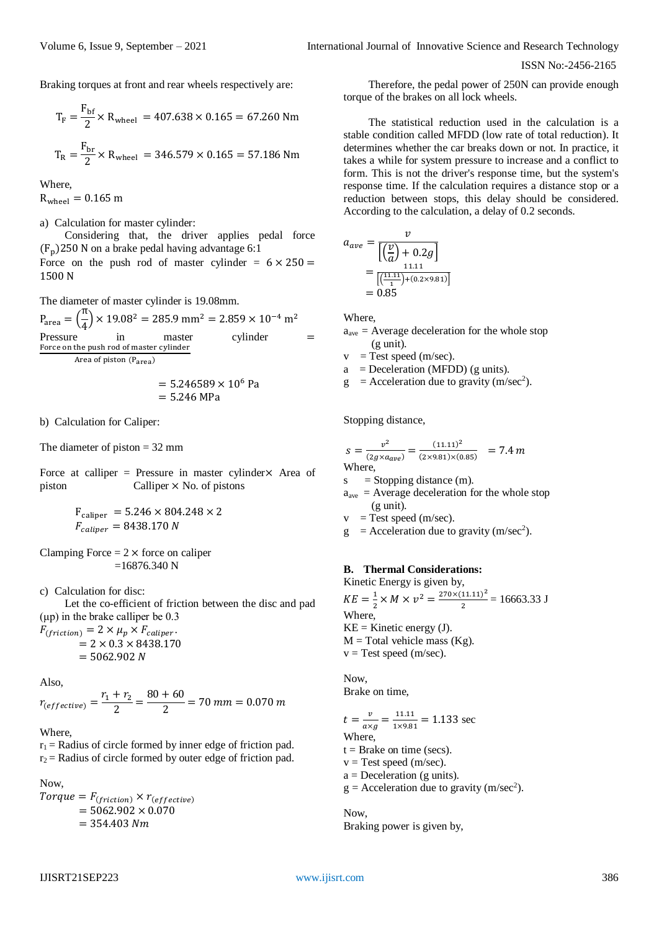Braking torques at front and rear wheels respectively are:

$$
T_F = \frac{F_{\text{bf}}}{2} \times R_{\text{wheel}} = 407.638 \times 0.165 = 67.260 \text{ Nm}
$$

$$
T_R = \frac{F_{\text{br}}}{2} \times R_{\text{wheel}} = 346.579 \times 0.165 = 57.186 \text{ Nm}
$$

Where,

 $R_{wheel} = 0.165$  m

a) Calculation for master cylinder:

Considering that, the driver applies pedal force  $(F_n)$ 250 N on a brake pedal having advantage 6:1 Force on the push rod of master cylinder =  $6 \times 250$  = 1500 N

The diameter of master cylinder is 19.08mm.

 $P_{area} = \left(\frac{\pi}{4}\right)$  $\frac{\text{4}}{4}$  × 19.08<sup>2</sup> = 285.9 mm<sup>2</sup> = 2.859 × 10<sup>-4</sup> m<sup>2</sup> Pressure in master cylinder = Force on the push rod of master cylinder<br>Area of victor (B Area of piston (Parea)

$$
= 5.246589 \times 10^6 \text{ Pa}
$$

$$
= 5.246 \text{ MPa}
$$

b) Calculation for Caliper:

The diameter of piston  $= 32$  mm

Force at calliper = Pressure in master cylinder $\times$  Area of piston Calliper × No. of pistons

$$
F_{\text{caliper}} = 5.246 \times 804.248 \times 2
$$
  

$$
F_{\text{caliper}} = 8438.170 \text{ N}
$$

Clamping Force  $= 2 \times$  force on caliper  $=16876.340$  N

c) Calculation for disc:

Let the co-efficient of friction between the disc and pad (μp) in the brake calliper be 0.3

 $F_{(friction)} = 2 \times \mu_p \times F_{caliper}.$  $= 2 \times 0.3 \times 8438.170$  $= 5062.902 N$ 

Also,

 $r_{\text{(effective)}} = \frac{r_1 + r_2}{2}$  $\frac{1+r_2}{2} = \frac{80+60}{2}$  $\frac{1}{2}$  = 70 mm = 0.070 m

#### Where,

 $r_1$  = Radius of circle formed by inner edge of friction pad.  $r_2$  = Radius of circle formed by outer edge of friction pad.

#### Now,

 $Torque = F_{(friction)} \times r_{(effective)}$  $= 5062.902 \times 0.070$  $= 354.403 Nm$ 

Therefore, the pedal power of 250N can provide enough torque of the brakes on all lock wheels.

The statistical reduction used in the calculation is a stable condition called MFDD (low rate of total reduction). It determines whether the car breaks down or not. In practice, it takes a while for system pressure to increase and a conflict to form. This is not the driver's response time, but the system's response time. If the calculation requires a distance stop or a reduction between stops, this delay should be considered. According to the calculation, a delay of 0.2 seconds.

$$
a_{ave} = \frac{v}{\left[\left(\frac{v}{a}\right) + 0.2g\right]}
$$
  
= 
$$
\frac{11.11}{\left[\left(\frac{11.11}{1}\right) + (0.2 \times 9.81)\right]}
$$
  
= 0.85

Where,

- $a<sub>ave</sub>$  = Average deceleration for the whole stop (g unit).
- $v = Test \text{ speed } (m/sec).$

 $a = Deceleration (MFDD) (g units).$ 

 $g =$  Acceleration due to gravity (m/sec<sup>2</sup>).

Stopping distance,

$$
s = \frac{v^2}{(2g \times a_{ave})} = \frac{(11.11)^2}{(2 \times 9.81) \times (0.85)} = 7.4 \text{ m}
$$
  
Where.

 $s =$ Stopping distance (m).

- $a<sub>ave</sub>$  = Average deceleration for the whole stop (g unit).
- $v = Test \text{ speed } (m/sec).$
- $g =$  Acceleration due to gravity (m/sec<sup>2</sup>).

#### **B. Thermal Considerations:**

Kinetic Energy is given by,  $KE = \frac{1}{2}$  $\frac{1}{2} \times M \times v^2 = \frac{270 \times (11.11)^2}{2}$  $\frac{11.11}{2}$  = 16663.33 J Where,  $KE =$ Kinetic energy (J).  $M = Total$  vehicle mass (Kg).  $v = Test$  speed (m/sec).

Now, Brake on time,

$$
t = \frac{v}{\alpha \times g} = \frac{11.11}{1 \times 9.81} = 1.133
$$
 sec  
Where,  
t = Brake on time (secs).

- $v = Test$  speed (m/sec).
- $a = Deceleration (g units).$
- $g =$  Acceleration due to gravity (m/sec<sup>2</sup>).

Now, Braking power is given by,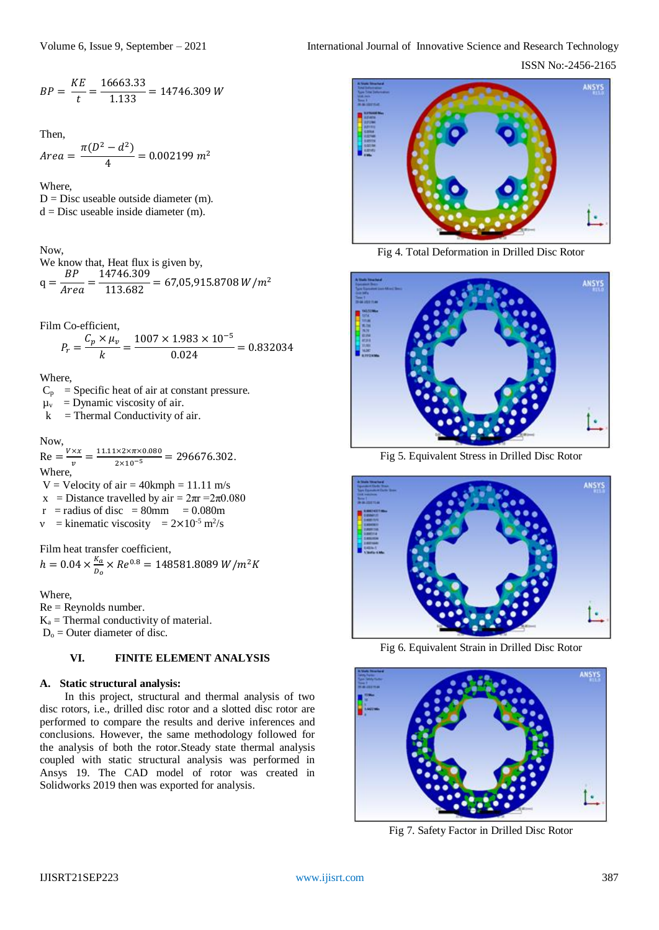ISSN No:-2456-2165

$$
BP = \frac{KE}{t} = \frac{16663.33}{1.133} = 14746.309 W
$$

Then,

Area = 
$$
\frac{\pi(D^2 - d^2)}{4} = 0.002199 \, m^2
$$

Where,  $D = Disc$  useable outside diameter (m).  $d = Disc$  useable inside diameter (m).

Now,

We know that, Heat flux is given by,  $q$  $BP$ **Area**  $\frac{14746.309}{113.682}$  = 67,05,915.8708 W/m<sup>2</sup>

Film Co-efficient,

$$
P_r = \frac{C_p \times \mu_v}{k} = \frac{1007 \times 1.983 \times 10^{-5}}{0.024} = 0.832034
$$

Where,

 $C_p$  = Specific heat of air at constant pressure.

 $\mu_v$  = Dynamic viscosity of air.

 $k =$ Thermal Conductivity of air.

### Now,

 $Re =$  $V \times x$  $\frac{dx}{dt} = \frac{11.11 \times 2 \times \pi \times 0.080}{2 \times 10^{-5}} = 296676.302.$ Where,  $V =$  Velocity of air = 40kmph = 11.11 m/s x = Distance travelled by air =  $2\pi r = 2\pi 0.080$  $r =$  radius of disc = 80mm = 0.080m

 $v =$  kinematic viscosity =  $2 \times 10^{-5}$  m<sup>2</sup>/s

Film heat transfer coefficient,  $h = 0.04 \times \frac{K_a}{R}$ 

 $\frac{\kappa_a}{D_o}$  × Re<sup>0.8</sup> = 148581.8089 W/m<sup>2</sup>K Where,

Re = Reynolds number.  $K_a$  = Thermal conductivity of material.  $D_0$  = Outer diameter of disc.

# **VI. FINITE ELEMENT ANALYSIS**

### **A. Static structural analysis:**

In this project, structural and thermal analysis of two disc rotors, i.e., drilled disc rotor and a slotted disc rotor are performed to compare the results and derive inferences and conclusions. However, the same methodology followed for the analysis of both the rotor.Steady state thermal analysis coupled with static structural analysis was performed in Ansys 19. The CAD model of rotor was created in Solidworks 2019 then was exported for analysis.



Fig 4. Total Deformation in Drilled Disc Rotor



Fig 5. Equivalent Stress in Drilled Disc Rotor



Fig 6. Equivalent Strain in Drilled Disc Rotor



Fig 7. Safety Factor in Drilled Disc Rotor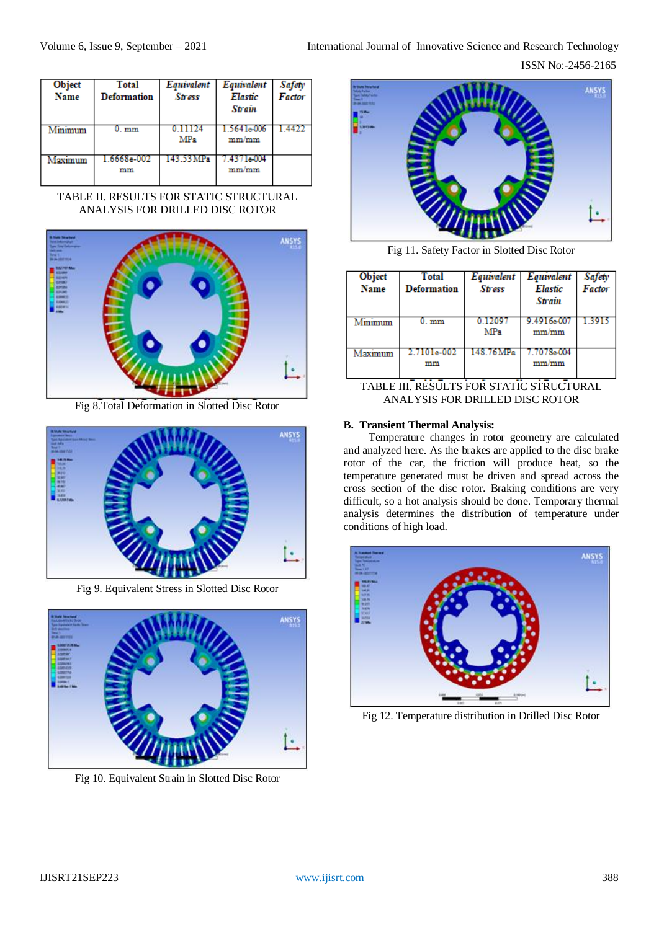ISSN No:-2456-2165

| Object<br><b>Name</b> | <b>Total</b><br><b>Deformation</b> | Equivalent<br><b>Stress</b> | Equivalent<br>Elastic<br><b>Strain</b> | Safety<br>Factor |
|-----------------------|------------------------------------|-----------------------------|----------------------------------------|------------------|
| Minimum               | 0. mm                              | 0 11 124<br>MPa             | 1.5641e-006<br>mm/mm                   |                  |
| Maximum               | 1.6668e-002<br>mm                  | 143.53 MPa                  | 7.4371e004<br>mm/mm                    |                  |

TABLE II. RESULTS FOR STATIC STRUCTURAL ANALYSIS FOR DRILLED DISC ROTOR



Fig 8.Total Deformation in Slotted Disc Rotor



Fig 9. Equivalent Stress in Slotted Disc Rotor



Fig 10. Equivalent Strain in Slotted Disc Rotor



Fig 11. Safety Factor in Slotted Disc Rotor

| Object<br>Name                                            | <b>Total</b><br><b>Deformation</b> | Equivalent<br><b>Stress</b> | Equivalent<br><b>Elastic</b><br><b>Strain</b> | Safety<br>Factor |
|-----------------------------------------------------------|------------------------------------|-----------------------------|-----------------------------------------------|------------------|
| Minimum                                                   | 0. mm                              | 1209<br>MPa                 | 9.4916e00<br>mm/mm                            |                  |
| Maximum                                                   | 2.7101e-002<br>mm                  | 148.76 MPa                  | 7.7078e-004<br>mm/mm                          |                  |
| T A DI E HI<br>пени<br>EOD STATIC STDLICTUD AL<br>TС<br>D |                                    |                             |                                               |                  |

TABLE III. RESULTS FOR STATIC STRUCTURAL ANALYSIS FOR DRILLED DISC ROTOR

# **B. Transient Thermal Analysis:**

Temperature changes in rotor geometry are calculated and analyzed here. As the brakes are applied to the disc brake rotor of the car, the friction will produce heat, so the temperature generated must be driven and spread across the cross section of the disc rotor. Braking conditions are very difficult, so a hot analysis should be done. Temporary thermal analysis determines the distribution of temperature under conditions of high load.



Fig 12. Temperature distribution in Drilled Disc Rotor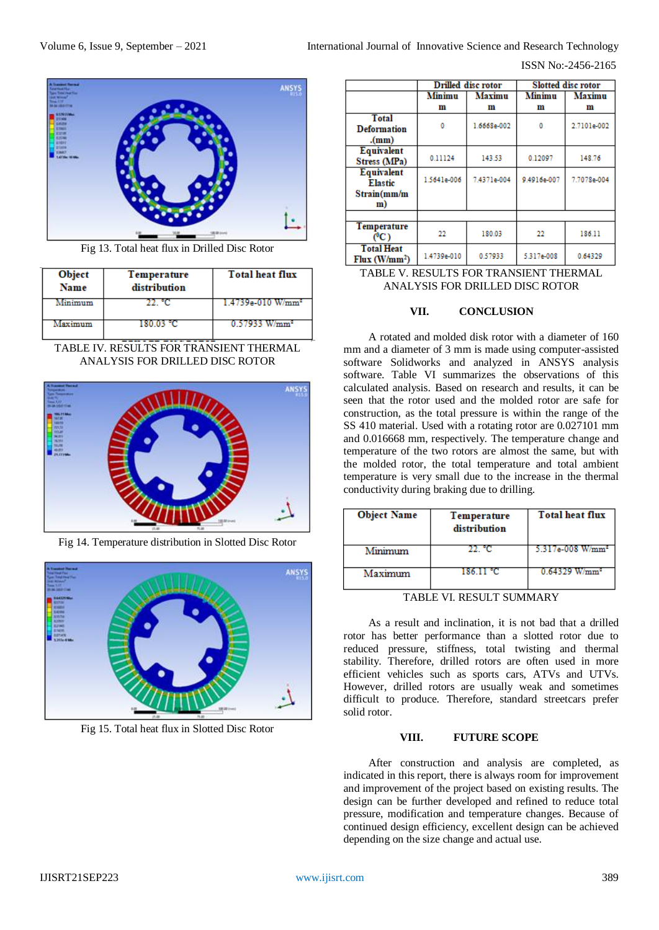

Fig 13. Total heat flux in Drilled Disc Rotor

| Object<br><b>Name</b> | Temperature<br>distribution | <b>Total heat flux</b>        |
|-----------------------|-----------------------------|-------------------------------|
| Minimum               |                             | 1.4739e-010 W/mm <del>*</del> |
| Maximum               | 180 03 °C.                  | $0.57933$ W/mm <sup>2</sup>   |

TABLE IV. RESULTS FOR TRANSIENT THERMAL ANALYSIS FOR DRILLED DISC ROTOR



Fig 14. Temperature distribution in Slotted Disc Rotor



Fig 15. Total heat flux in Slotted Disc Rotor

|                           | Drilled disc rotor |               | <b>Slotted disc rotor</b> |               |
|---------------------------|--------------------|---------------|---------------------------|---------------|
|                           | <b>Minimu</b>      | <b>Maximu</b> | Minimu                    | <b>Maximu</b> |
|                           | m                  | m             | m                         | m             |
| <b>Total</b>              | ٥                  |               | ٥                         |               |
| <b>Deformation</b>        |                    | 1.6668e-002   |                           | 2.7101e-002   |
| (mm)                      |                    |               |                           |               |
| Equivalent                | 0.11124            | 143.53        | 0.12097                   | 148.76        |
| Stress (MPa)              |                    |               |                           |               |
| Equivalent                | 1.5641e-006        | 7.4371e-004   | 9.4916e-007               | 7.7078e-004   |
| <b>Elastic</b>            |                    |               |                           |               |
| Strain(mm/m               |                    |               |                           |               |
| m)                        |                    |               |                           |               |
|                           |                    |               |                           |               |
| Temperature               | 22                 | 180.03        | 22                        | 186.11        |
| (°C)                      |                    |               |                           |               |
| <b>Total Heat</b>         | 1.4739e-010        | 0.57933       | 5.317e-008                | 0.64329       |
| Flux (W/mm <sup>2</sup> ) |                    |               |                           |               |

TABLE V. RESULTS FOR TRANSIENT THERMAL ANALYSIS FOR DRILLED DISC ROTOR

### **VII. CONCLUSION**

A rotated and molded disk rotor with a diameter of 160 mm and a diameter of 3 mm is made using computer-assisted software Solidworks and analyzed in ANSYS analysis software. Table VI summarizes the observations of this calculated analysis. Based on research and results, it can be seen that the rotor used and the molded rotor are safe for construction, as the total pressure is within the range of the SS 410 material. Used with a rotating rotor are 0.027101 mm and 0.016668 mm, respectively. The temperature change and temperature of the two rotors are almost the same, but with the molded rotor, the total temperature and total ambient temperature is very small due to the increase in the thermal conductivity during braking due to drilling.

| <b>Object Name</b> | Temperature<br>distribution | <b>Total heat flux</b>       |
|--------------------|-----------------------------|------------------------------|
| Minimum            | 22 °C                       | 5.317e-008 W/mm <sup>2</sup> |
| Maximum            | 186.11 °C                   | $0.64329$ W/mm <sup>2</sup>  |

TABLE VI. RESULT SUMMARY

As a result and inclination, it is not bad that a drilled rotor has better performance than a slotted rotor due to reduced pressure, stiffness, total twisting and thermal stability. Therefore, drilled rotors are often used in more efficient vehicles such as sports cars, ATVs and UTVs. However, drilled rotors are usually weak and sometimes difficult to produce. Therefore, standard streetcars prefer solid rotor.

#### **VIII. FUTURE SCOPE**

After construction and analysis are completed, as indicated in this report, there is always room for improvement and improvement of the project based on existing results. The design can be further developed and refined to reduce total pressure, modification and temperature changes. Because of continued design efficiency, excellent design can be achieved depending on the size change and actual use.